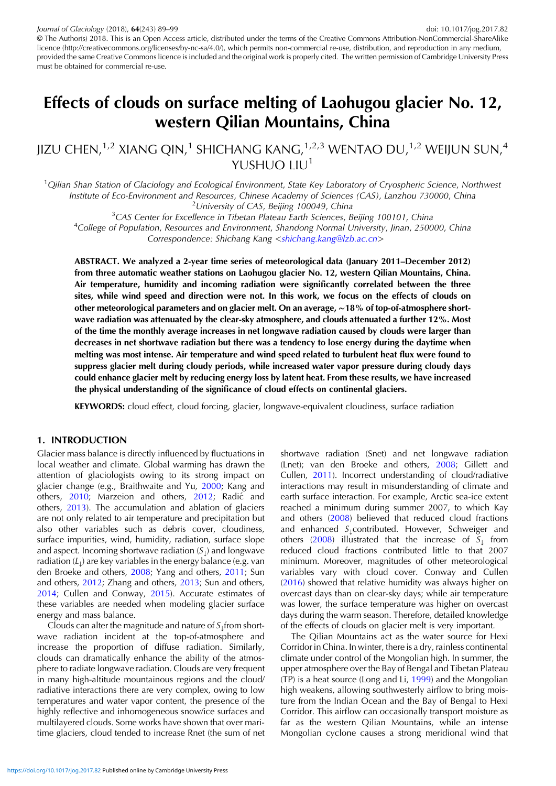© The Author(s) 2018. This is an Open Access article, distributed under the terms of the Creative Commons Attribution-NonCommercial-ShareAlike licence (http://creativecommons.org/licenses/by-nc-sa/4.0/), which permits non-commercial re-use, distribution, and reproduction in any medium, provided the same Creative Commons licence is included and the original work is properly cited. The written permission of Cambridge University Press must be obtained for commercial re-use.

# Effects of clouds on surface melting of Laohugou glacier No. 12, western Qilian Mountains, China

# JIZU CHEN,<sup>1,2</sup> XIANG QIN,<sup>1</sup> SHICHANG KANG,<sup>1,2,3</sup> WENTAO DU,<sup>1,2</sup> WEIJUN SUN,<sup>4</sup> YUSHUO LIU<sup>1</sup>

<sup>1</sup>Qilian Shan Station of Glaciology and Ecological Environment, State Key Laboratory of Cryospheric Science, Northwest Institute of Eco-Environment and Resources, Chinese Academy of Sciences (CAS), Lanzhou 730000, China <sup>2</sup>

University of CAS, Beijing 100049, China <sup>3</sup><br>CAS Center for Excellence in Tibetan Plateau Earth Sciences. B  $^{3}$ CAS Center for Excellence in Tibetan Plateau Earth Sciences, Beijing 100101, China  $^{4}$ Collogo of Population, Resources and Environment, Shandong Normal University, Jinan, 2500 <sup>4</sup>College of Population, Resources and Environment, Shandong Normal University, Jinan, 250000, China Correspondence: Shichang Kang <[shichang.kang@lzb.ac.cn](mailto:shichang.kang@lzb.ac.cn)>

ABSTRACT. We analyzed a 2-year time series of meteorological data (January 2011–December 2012) from three automatic weather stations on Laohugou glacier No. 12, western Qilian Mountains, China. Air temperature, humidity and incoming radiation were significantly correlated between the three sites, while wind speed and direction were not. In this work, we focus on the effects of clouds on other meteorological parameters and on glacier melt. On an average, ∼18% of top-of-atmosphere shortwave radiation was attenuated by the clear-sky atmosphere, and clouds attenuated a further 12%. Most of the time the monthly average increases in net longwave radiation caused by clouds were larger than decreases in net shortwave radiation but there was a tendency to lose energy during the daytime when melting was most intense. Air temperature and wind speed related to turbulent heat flux were found to suppress glacier melt during cloudy periods, while increased water vapor pressure during cloudy days could enhance glacier melt by reducing energy loss by latent heat. From these results, we have increased the physical understanding of the significance of cloud effects on continental glaciers.

KEYWORDS: cloud effect, cloud forcing, glacier, longwave-equivalent cloudiness, surface radiation

#### 1. INTRODUCTION

Glacier mass balance is directly influenced by fluctuations in local weather and climate. Global warming has drawn the attention of glaciologists owing to its strong impact on glacier change (e.g., Braithwaite and Yu, [2000;](#page-9-0) Kang and others, [2010;](#page-9-0) Marzeion and others, [2012](#page-10-0); Radić and others, [2013\)](#page-10-0). The accumulation and ablation of glaciers are not only related to air temperature and precipitation but also other variables such as debris cover, cloudiness, surface impurities, wind, humidity, radiation, surface slope and aspect. Incoming shortwave radiation  $(S_1)$  and longwave radiation  $(L_1)$  are key variables in the energy balance (e.g. van den Broeke and others, [2008](#page-10-0); Yang and others, [2011](#page-10-0); Sun and others, [2012](#page-10-0); Zhang and others, [2013;](#page-10-0) Sun and others, [2014;](#page-10-0) Cullen and Conway, [2015](#page-9-0)). Accurate estimates of these variables are needed when modeling glacier surface energy and mass balance.

Clouds can alter the magnitude and nature of  $S_1$  from shortwave radiation incident at the top-of-atmosphere and increase the proportion of diffuse radiation. Similarly, clouds can dramatically enhance the ability of the atmosphere to radiate longwave radiation. Clouds are very frequent in many high-altitude mountainous regions and the cloud/ radiative interactions there are very complex, owing to low temperatures and water vapor content, the presence of the highly reflective and inhomogeneous snow/ice surfaces and multilayered clouds. Some works have shown that over maritime glaciers, cloud tended to increase Rnet (the sum of net

shortwave radiation (Snet) and net longwave radiation (Lnet); van den Broeke and others, [2008;](#page-10-0) Gillett and Cullen, [2011](#page-9-0)). Incorrect understanding of cloud/radiative interactions may result in misunderstanding of climate and earth surface interaction. For example, Arctic sea-ice extent reached a minimum during summer 2007, to which Kay and others ([2008\)](#page-9-0) believed that reduced cloud fractions and enhanced  $S_1$ contributed. However, Schweiger and others ([2008\)](#page-10-0) illustrated that the increase of  $S_{\downarrow}$  from reduced cloud fractions contributed little to that 2007 minimum. Moreover, magnitudes of other meteorological variables vary with cloud cover. Conway and Cullen [\(2016](#page-9-0)) showed that relative humidity was always higher on overcast days than on clear-sky days; while air temperature was lower, the surface temperature was higher on overcast days during the warm season. Therefore, detailed knowledge of the effects of clouds on glacier melt is very important.

The Qilian Mountains act as the water source for Hexi Corridor in China. In winter, there is a dry, rainless continental climate under control of the Mongolian high. In summer, the upper atmosphere over the Bay of Bengal and Tibetan Plateau (TP) is a heat source (Long and Li, [1999\)](#page-10-0) and the Mongolian high weakens, allowing southwesterly airflow to bring moisture from the Indian Ocean and the Bay of Bengal to Hexi Corridor. This airflow can occasionally transport moisture as far as the western Qilian Mountains, while an intense Mongolian cyclone causes a strong meridional wind that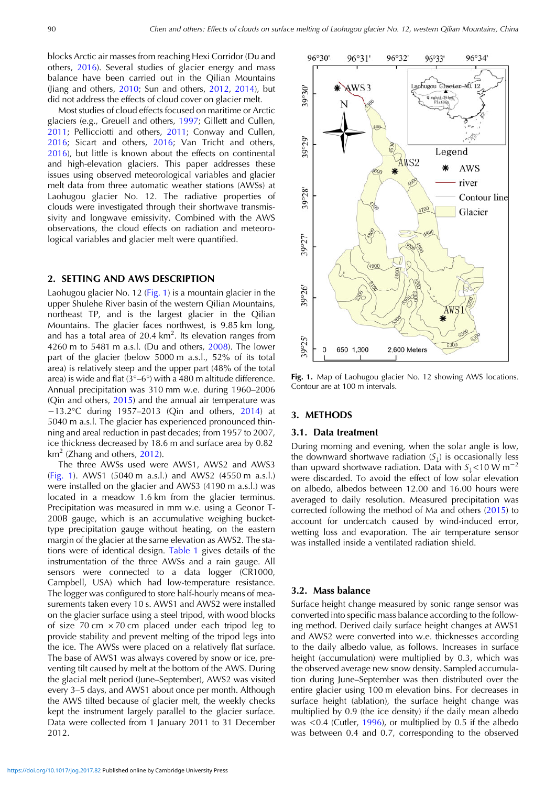blocks Arctic air masses from reaching Hexi Corridor (Du and others, [2016\)](#page-9-0). Several studies of glacier energy and mass balance have been carried out in the Qilian Mountains (Jiang and others,  $2010$ ; Sun and others,  $2012$ ,  $2014$ ), but did not address the effects of cloud cover on glacier melt.

Most studies of cloud effects focused on maritime or Arctic glaciers (e.g., Greuell and others, [1997](#page-9-0); Gillett and Cullen, [2011](#page-9-0); Pellicciotti and others, [2011;](#page-10-0) Conway and Cullen, [2016](#page-9-0); Sicart and others, [2016](#page-10-0); Van Tricht and others, [2016](#page-10-0)), but little is known about the effects on continental and high-elevation glaciers. This paper addresses these issues using observed meteorological variables and glacier melt data from three automatic weather stations (AWSs) at Laohugou glacier No. 12. The radiative properties of clouds were investigated through their shortwave transmissivity and longwave emissivity. Combined with the AWS observations, the cloud effects on radiation and meteorological variables and glacier melt were quantified.

### 2. SETTING AND AWS DESCRIPTION

Laohugou glacier No. 12 (Fig. 1) is a mountain glacier in the upper Shulehe River basin of the western Qilian Mountains, northeast TP, and is the largest glacier in the Qilian Mountains. The glacier faces northwest, is 9.85 km long, and has a total area of 20.4  $km^2$ . Its elevation ranges from 4260 m to 5481 m a.s.l. (Du and others, [2008](#page-9-0)). The lower part of the glacier (below 5000 m a.s.l., 52% of its total area) is relatively steep and the upper part (48% of the total area) is wide and flat  $(3^{\circ}-6^{\circ})$  with a 480 m altitude difference. Annual precipitation was 310 mm w.e. during 1960–2006 (Qin and others, [2015](#page-10-0)) and the annual air temperature was −13.2°C during 1957–2013 (Qin and others, [2014\)](#page-10-0) at 5040 m a.s.l. The glacier has experienced pronounced thinning and areal reduction in past decades; from 1957 to 2007, ice thickness decreased by 18.6 m and surface area by 0.82  $km<sup>2</sup>$  (Zhang and others, [2012\)](#page-10-0).

The three AWSs used were AWS1, AWS2 and AWS3 (Fig. 1). AWS1 (5040 m a.s.l.) and AWS2 (4550 m a.s.l.) were installed on the glacier and AWS3 (4190 m a.s.l.) was located in a meadow 1.6 km from the glacier terminus. Precipitation was measured in mm w.e. using a Geonor T-200B gauge, which is an accumulative weighing buckettype precipitation gauge without heating, on the eastern margin of the glacier at the same elevation as AWS2. The stations were of identical design. [Table 1](#page-2-0) gives details of the instrumentation of the three AWSs and a rain gauge. All sensors were connected to a data logger (CR1000, Campbell, USA) which had low-temperature resistance. The logger was configured to store half-hourly means of measurements taken every 10 s. AWS1 and AWS2 were installed on the glacier surface using a steel tripod, with wood blocks of size  $70 \text{ cm} \times 70 \text{ cm}$  placed under each tripod leg to provide stability and prevent melting of the tripod legs into the ice. The AWSs were placed on a relatively flat surface. The base of AWS1 was always covered by snow or ice, preventing tilt caused by melt at the bottom of the AWS. During the glacial melt period (June–September), AWS2 was visited every 3–5 days, and AWS1 about once per month. Although the AWS tilted because of glacier melt, the weekly checks kept the instrument largely parallel to the glacier surface. Data were collected from 1 January 2011 to 31 December 2012.



Fig. 1. Map of Laohugou glacier No. 12 showing AWS locations. Contour are at 100 m intervals.

#### 3. METHODS

#### 3.1. Data treatment

During morning and evening, when the solar angle is low, the downward shortwave radiation  $(S_1)$  is occasionally less than upward shortwave radiation. Data with  $S_1$ <10 W m<sup>-2</sup> were discarded. To avoid the effect of low solar elevation on albedo, albedos between 12.00 and 16.00 hours were averaged to daily resolution. Measured precipitation was corrected following the method of Ma and others ([2015\)](#page-10-0) to account for undercatch caused by wind-induced error, wetting loss and evaporation. The air temperature sensor was installed inside a ventilated radiation shield.

#### 3.2. Mass balance

Surface height change measured by sonic range sensor was converted into specific mass balance according to the following method. Derived daily surface height changes at AWS1 and AWS2 were converted into w.e. thicknesses according to the daily albedo value, as follows. Increases in surface height (accumulation) were multiplied by 0.3, which was the observed average new snow density. Sampled accumulation during June–September was then distributed over the entire glacier using 100 m elevation bins. For decreases in surface height (ablation), the surface height change was multiplied by 0.9 (the ice density) if the daily mean albedo was <0.4 (Cutler, [1996\)](#page-9-0), or multiplied by 0.5 if the albedo was between 0.4 and 0.7, corresponding to the observed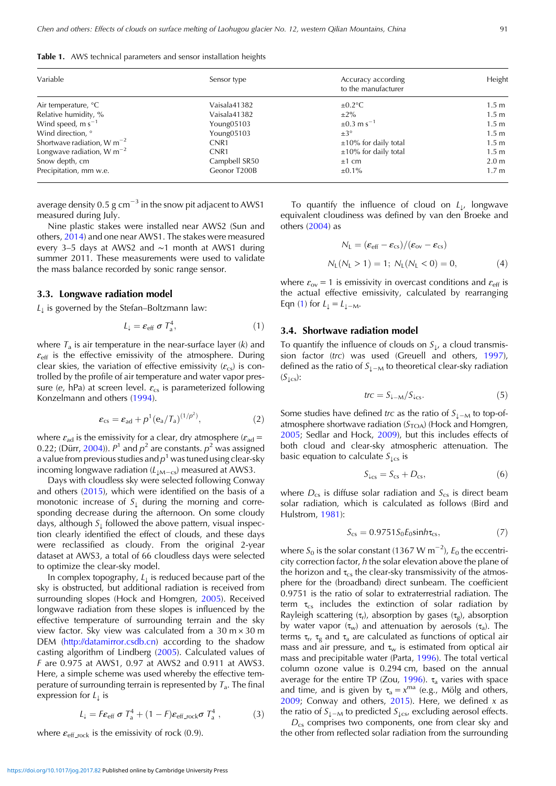<span id="page-2-0"></span>Table 1. AWS technical parameters and sensor installation heights

| Variable                        | Sensor type      | Accuracy according<br>to the manufacturer | Height           |  |
|---------------------------------|------------------|-------------------------------------------|------------------|--|
| Air temperature, $^{\circ}C$    | Vaisala41382     | $\pm 0.2$ °C                              | 1.5 <sub>m</sub> |  |
| Relative humidity, %            | Vaisala41382     | $\pm 2\%$                                 | 1.5 <sub>m</sub> |  |
| Wind speed, $m s^{-1}$          | Young05103       | $\pm 0.3 \text{ m s}^{-1}$                | 1.5 <sub>m</sub> |  |
| Wind direction, °               | Young05103       | $\pm 3^{\circ}$                           | 1.5 <sub>m</sub> |  |
| Shortwave radiation, W $m^{-2}$ | CNR <sub>1</sub> | $\pm 10\%$ for daily total                | 1.5 <sub>m</sub> |  |
| Longwave radiation, $W m^{-2}$  | CNR <sub>1</sub> | $\pm 10\%$ for daily total                | 1.5 <sub>m</sub> |  |
| Snow depth, cm                  | Campbell SR50    | $±1$ cm                                   | 2.0 <sub>m</sub> |  |
| Precipitation, mm w.e.          | Geonor T200B     | $\pm 0.1\%$                               | 1.7 <sub>m</sub> |  |

average density 0.5 g  $cm^{-3}$  in the snow pit adjacent to AWS1 measured during July.

Nine plastic stakes were installed near AWS2 (Sun and others, [2014\)](#page-10-0) and one near AWS1. The stakes were measured every 3–5 days at AWS2 and ∼1 month at AWS1 during summer 2011. These measurements were used to validate the mass balance recorded by sonic range sensor.

#### 3.3. Longwave radiation model

 $L_{\perp}$  is governed by the Stefan–Boltzmann law:

$$
L_{\downarrow} = \varepsilon_{\text{eff}} \sigma T_{\text{a}}^4,\tag{1}
$$

where  $T_a$  is air temperature in the near-surface layer (k) and  $\varepsilon_{\text{eff}}$  is the effective emissivity of the atmosphere. During clear skies, the variation of effective emissivity  $(\varepsilon_{cs})$  is controlled by the profile of air temperature and water vapor pressure (e, hPa) at screen level.  $\varepsilon_{\text{cs}}$  is parameterized following Konzelmann and others [\(1994](#page-10-0)).

$$
\varepsilon_{\text{cs}} = \varepsilon_{\text{ad}} + \rho^1 (e_a / T_a)^{(1/p^2)},\tag{2}
$$

where  $\varepsilon_{\text{ad}}$  is the emissivity for a clear, dry atmosphere ( $\varepsilon_{\text{ad}}$  = 0.22; (Dürr, [2004](#page-9-0))).  $P<sup>1</sup>$  and  $p<sup>2</sup>$  are constants.  $p<sup>2</sup>$  was assigned a value from previous studies and  $p<sup>1</sup>$  was tuned using clear-sky incoming longwave radiation ( $L_{\text{LM}-\text{cs}}$ ) measured at AWS3.

Days with cloudless sky were selected following Conway and others [\(2015](#page-9-0)), which were identified on the basis of a monotonic increase of  $S_{\downarrow}$  during the morning and corresponding decrease during the afternoon. On some cloudy days, although  $S_{\downarrow}$  followed the above pattern, visual inspection clearly identified the effect of clouds, and these days were reclassified as cloudy. From the original 2-year dataset at AWS3, a total of 66 cloudless days were selected to optimize the clear-sky model.

In complex topography,  $L_1$  is reduced because part of the sky is obstructed, but additional radiation is received from surrounding slopes (Hock and Homgren, [2005\)](#page-9-0). Received longwave radiation from these slopes is influenced by the effective temperature of surrounding terrain and the sky view factor. Sky view was calculated from a 30 m × 30 m DEM [\(http://datamirror.csdb.cn\)](http://datamirror.csdb.cn) according to the shadow casting algorithm of Lindberg [\(2005](#page-10-0)). Calculated values of F are 0.975 at AWS1, 0.97 at AWS2 and 0.911 at AWS3. Here, a simple scheme was used whereby the effective temperature of surrounding terrain is represented by  $T_a$ . The final expression for  $L_{\perp}$  is

$$
L_{\downarrow} = F \varepsilon_{\text{eff}} \sigma T_{\text{a}}^4 + (1 - F) \varepsilon_{\text{eff\_rock}} \sigma T_{\text{a}}^4 , \qquad (3)
$$

where  $\varepsilon_{\text{eff\_rock}}$  is the emissivity of rock (0.9).

To quantify the influence of cloud on  $L_1$ , longwave equivalent cloudiness was defined by van den Broeke and others [\(2004](#page-10-0)) as

$$
N_{L} = (\varepsilon_{\text{eff}} - \varepsilon_{\text{cs}}) / (\varepsilon_{\text{ov}} - \varepsilon_{\text{cs}})
$$
  

$$
N_{L}(N_{L} > 1) = 1; N_{L}(N_{L} < 0) = 0,
$$
 (4)

where  $\varepsilon_{\text{ov}} = 1$  is emissivity in overcast conditions and  $\varepsilon_{\text{eff}}$  is the actual effective emissivity, calculated by rearranging Eqn (1) for  $L_{\downarrow} = L_{\downarrow - M}$ .

#### 3.4. Shortwave radiation model

To quantify the influence of clouds on  $S_{\perp}$ , a cloud transmission factor (trc) was used (Greuell and others, [1997](#page-9-0)), defined as the ratio of  $S_{\perp-M}$  to theoretical clear-sky radiation  $(S_{\text{Lcs}})$ :

$$
trc = S_{\downarrow - M} / S_{\downarrow cs}.
$$
 (5)

Some studies have defined trc as the ratio of  $S_{\perp-M}$  to top-ofatmosphere shortwave radiation  $(S<sub>TOA</sub>)$  (Hock and Homgren, [2005;](#page-9-0) Sedlar and Hock, [2009](#page-10-0)), but this includes effects of both cloud and clear-sky atmospheric attenuation. The basic equation to calculate  $S_{\text{Lcs}}$  is

$$
S_{\downarrow_{\text{CS}}} = S_{\text{cs}} + D_{\text{cs}},\tag{6}
$$

where  $D_{cs}$  is diffuse solar radiation and  $S_{cs}$  is direct beam solar radiation, which is calculated as follows (Bird and Hulstrom, [1981](#page-9-0)):

$$
S_{\rm cs} = 0.9751 S_0 E_0 \sinh \tau_{\rm cs},\tag{7}
$$

where  $S_0$  is the solar constant (1367 W m<sup>-2</sup>),  $E_0$  the eccentricity correction factor, h the solar elevation above the plane of the horizon and  $\tau_{cs}$  the clear-sky transmissivity of the atmosphere for the (broadband) direct sunbeam. The coefficient 0.9751 is the ratio of solar to extraterrestrial radiation. The term  $\tau_{cs}$  includes the extinction of solar radiation by Rayleigh scattering  $(\tau_r)$ , absorption by gases  $(\tau_g)$ , absorption by water vapor  $(\tau_w)$  and attenuation by aerosols  $(\tau_a)$ . The terms  $\tau_r$ ,  $\tau_g$  and  $\tau_a$  are calculated as functions of optical air mass and air pressure, and  $\tau_w$  is estimated from optical air mass and precipitable water (Parta, [1996](#page-10-0)). The total vertical column ozone value is 0.294 cm, based on the annual average for the entire TP (Zou, [1996](#page-10-0)).  $\tau_a$  varies with space and time, and is given by  $\tau_a = x^{ma}$  (e.g., Mölg and others, [2009;](#page-10-0) Conway and others,  $2015$ ). Here, we defined x as the ratio of  $S_{\perp-M}$  to predicted  $S_{\perp cs}$ , excluding aerosol effects.  $D_{cs}$  comprises two components, one from clear sky and

the other from reflected solar radiation from the surrounding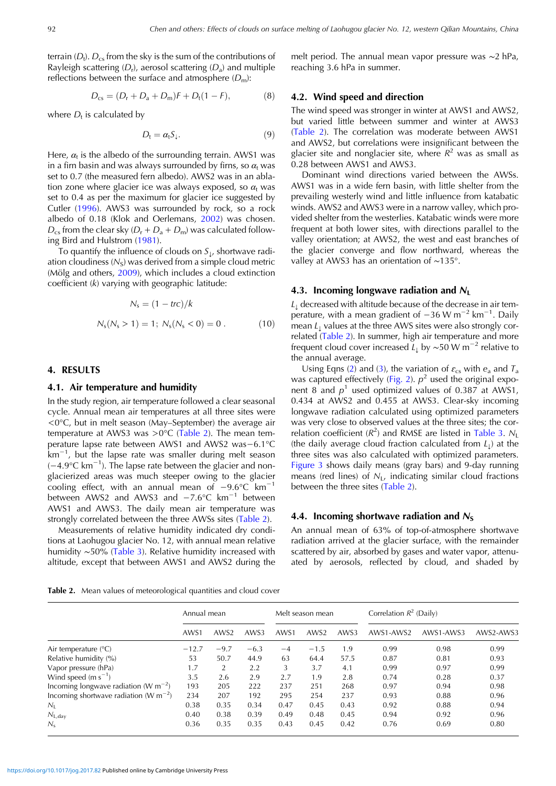<span id="page-3-0"></span>terrain  $(D_t)$ .  $D_{cs}$  from the sky is the sum of the contributions of Rayleigh scattering  $(D<sub>r</sub>)$ , aerosol scattering  $(D<sub>a</sub>)$  and multiple reflections between the surface and atmosphere  $(D_m)$ :

$$
D_{\rm cs} = (D_{\rm r} + D_{\rm a} + D_{\rm m})F + D_{\rm t}(1 - F), \tag{8}
$$

where  $D_t$  is calculated by

$$
D_t = \alpha_t S_\downarrow. \tag{9}
$$

Here,  $\alpha_t$  is the albedo of the surrounding terrain. AWS1 was in a firn basin and was always surrounded by firns, so  $\alpha_t$  was set to 0.7 (the measured fern albedo). AWS2 was in an ablation zone where glacier ice was always exposed, so  $\alpha_t$  was set to 0.4 as per the maximum for glacier ice suggested by Cutler ([1996\)](#page-9-0). AWS3 was surrounded by rock, so a rock albedo of 0.18 (Klok and Oerlemans, [2002](#page-9-0)) was chosen.  $D_{\rm cs}$  from the clear sky ( $D_{\rm r}$  +  $D_{\rm a}$  +  $D_{\rm m}$ ) was calculated following Bird and Hulstrom [\(1981](#page-9-0)).

To quantify the influence of clouds on  $S_{\perp}$ , shortwave radiation cloudiness  $(N<sub>S</sub>)$  was derived from a simple cloud metric (Mölg and others, [2009](#page-10-0)), which includes a cloud extinction coefficient (k) varying with geographic latitude:

$$
N_s = (1 - trc)/k
$$
  

$$
N_s(N_s > 1) = 1; N_s(N_s < 0) = 0.
$$
 (10)

#### 4. RESULTS

#### 4.1. Air temperature and humidity

In the study region, air temperature followed a clear seasonal cycle. Annual mean air temperatures at all three sites were <0°C, but in melt season (May–September) the average air temperature at AWS3 was >0°C (Table 2). The mean temperature lapse rate between AWS1 and AWS2 was−6.1°C km−<sup>1</sup> , but the lapse rate was smaller during melt season (−4.9°C km−<sup>1</sup> ). The lapse rate between the glacier and nonglacierized areas was much steeper owing to the glacier cooling effect, with an annual mean of −9.6°C km−<sup>1</sup> between AWS2 and AWS3 and −7.6°C km−<sup>1</sup> between AWS1 and AWS3. The daily mean air temperature was strongly correlated between the three AWSs sites (Table 2).

Measurements of relative humidity indicated dry conditions at Laohugou glacier No. 12, with annual mean relative humidity ∼50% [\(Table 3](#page-4-0)). Relative humidity increased with altitude, except that between AWS1 and AWS2 during the

melt period. The annual mean vapor pressure was ∼2 hPa, reaching 3.6 hPa in summer.

### 4.2. Wind speed and direction

The wind speed was stronger in winter at AWS1 and AWS2, but varied little between summer and winter at AWS3 (Table 2). The correlation was moderate between AWS1 and AWS2, but correlations were insignificant between the glacier site and nonglacier site, where  $R^2$  was as small as 0.28 between AWS1 and AWS3.

Dominant wind directions varied between the AWSs. AWS1 was in a wide fern basin, with little shelter from the prevailing westerly wind and little influence from katabatic winds. AWS2 and AWS3 were in a narrow valley, which provided shelter from the westerlies. Katabatic winds were more frequent at both lower sites, with directions parallel to the valley orientation; at AWS2, the west and east branches of the glacier converge and flow northward, whereas the valley at AWS3 has an orientation of ∼135°.

#### 4.3. Incoming longwave radiation and  $N_L$

 $L_1$  decreased with altitude because of the decrease in air temperature, with a mean gradient of  $-36$  W m<sup>-2</sup> km<sup>-1</sup>. Daily mean  $L_1$  values at the three AWS sites were also strongly correlated (Table 2). In summer, high air temperature and more frequent cloud cover increased  $L_1$  by ~50 W m<sup>-2</sup> relative to the annual average.

Using Eqns [\(2](#page-2-0)) and ([3\)](#page-2-0), the variation of  $\varepsilon_{cs}$  with  $e_a$  and  $T_a$ was captured effectively ([Fig. 2\)](#page-4-0).  $p^2$  used the original exponent 8 and  $p<sup>1</sup>$  used optimized values of 0.387 at AWS1, 0.434 at AWS2 and 0.455 at AWS3. Clear-sky incoming longwave radiation calculated using optimized parameters was very close to observed values at the three sites; the correlation coefficient ( $R^2$ ) and RMSE are listed in [Table 3.](#page-4-0)  $N_L$ (the daily average cloud fraction calculated from  $L_1$ ) at the three sites was also calculated with optimized parameters. [Figure 3](#page-4-0) shows daily means (gray bars) and 9-day running means (red lines) of  $N<sub>L</sub>$ , indicating similar cloud fractions between the three sites (Table 2).

#### 4.4. Incoming shortwave radiation and  $N<sub>S</sub>$

An annual mean of 63% of top-of-atmosphere shortwave radiation arrived at the glacier surface, with the remainder scattered by air, absorbed by gases and water vapor, attenuated by aerosols, reflected by cloud, and shaded by

Table 2. Mean values of meteorological quantities and cloud cover

|                                            | Annual mean |                  |        | Melt season mean |                  |      | Correlation $R^2$ (Daily) |           |           |  |
|--------------------------------------------|-------------|------------------|--------|------------------|------------------|------|---------------------------|-----------|-----------|--|
|                                            | AWS1        | AWS <sub>2</sub> | AWS3   | AWS1             | AWS <sub>2</sub> | AWS3 | AWS1-AWS2                 | AWS1-AWS3 | AWS2-AWS3 |  |
| Air temperature $(^{\circ}C)$              | $-12.7$     | $-9.7$           | $-6.3$ | $-4$             | $-1.5$           | 1.9  | 0.99                      | 0.98      | 0.99      |  |
| Relative humidity (%)                      | 53          | 50.7             | 44.9   | 63               | 64.4             | 57.5 | 0.87                      | 0.81      | 0.93      |  |
| Vapor pressure (hPa)                       | 1.7         | 2                | 2.2    | 3                | 3.7              | 4.1  | 0.99                      | 0.97      | 0.99      |  |
| Wind speed $(m s^{-1})$                    | 3.5         | 2.6              | 2.9    | 2.7              | 1.9              | 2.8  | 0.74                      | 0.28      | 0.37      |  |
| Incoming longwave radiation (W $m^{-2}$ )  | 193         | 205              | 222    | 237              | 251              | 268  | 0.97                      | 0.94      | 0.98      |  |
| Incoming shortwave radiation (W $m^{-2}$ ) | 234         | 207              | 192    | 295              | 254              | 237  | 0.93                      | 0.88      | 0.96      |  |
| $N_I$                                      | 0.38        | 0.35             | 0.34   | 0.47             | 0.45             | 0.43 | 0.92                      | 0.88      | 0.94      |  |
| $N_{L,\text{day}}$                         | 0.40        | 0.38             | 0.39   | 0.49             | 0.48             | 0.45 | 0.94                      | 0.92      | 0.96      |  |
| $N_{\rm s}$                                | 0.36        | 0.35             | 0.35   | 0.43             | 0.45             | 0.42 | 0.76                      | 0.69      | 0.80      |  |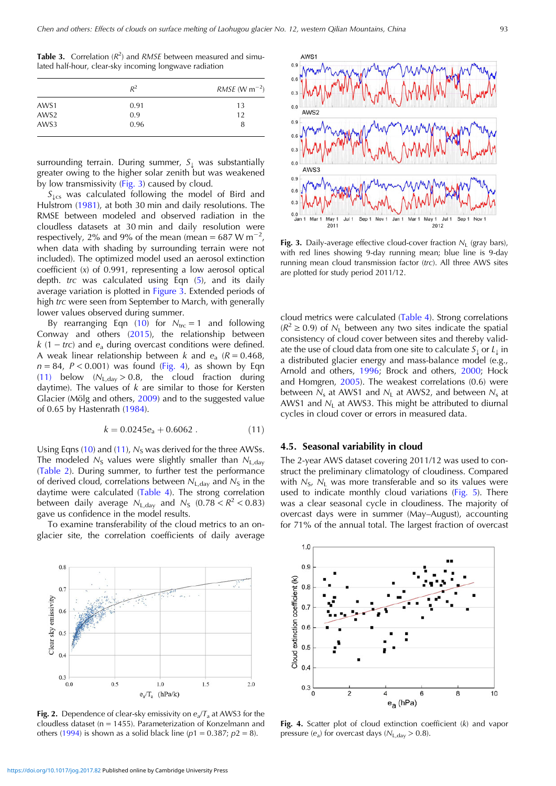<span id="page-4-0"></span>**Table 3.** Correlation  $(R^2)$  and RMSE between measured and simulated half-hour, clear-sky incoming longwave radiation

|      | $R^2$ | <i>RMSE</i> (W $m^{-2}$ ) |  |  |
|------|-------|---------------------------|--|--|
| AWS1 | 0.91  | 13                        |  |  |
| AWS2 | 0.9   | 12                        |  |  |
| AWS3 | 0.96  | 8                         |  |  |

surrounding terrain. During summer,  $S_{\perp}$  was substantially greater owing to the higher solar zenith but was weakened by low transmissivity (Fig. 3) caused by cloud.

 $S_{\text{Lcs}}$  was calculated following the model of Bird and Hulstrom [\(1981](#page-9-0)), at both 30 min and daily resolutions. The RMSE between modeled and observed radiation in the cloudless datasets at 30 min and daily resolution were respectively, 2% and 9% of the mean (mean =  $687$  W m<sup>-2</sup>, when data with shading by surrounding terrain were not included). The optimized model used an aerosol extinction coefficient (x) of 0.991, representing a low aerosol optical depth. trc was calculated using Eqn [\(5\)](#page-2-0), and its daily average variation is plotted in Figure 3. Extended periods of high trc were seen from September to March, with generally lower values observed during summer.

By rearranging Eqn  $(10)$  $(10)$  for  $N_{\text{trc}} = 1$  and following Conway and others [\(2015](#page-9-0)), the relationship between  $k$  (1 – trc) and  $e_a$  during overcast conditions were defined. A weak linear relationship between k and  $e_a$  ( $R = 0.468$ )  $n = 84$ ,  $P < 0.001$ ) was found (Fig. 4), as shown by Eqn (11) below  $(N_{L,day} > 0.8)$ , the cloud fraction during daytime). The values of  $k$  are similar to those for Kersten Glacier (Mölg and others, [2009\)](#page-10-0) and to the suggested value of 0.65 by Hastenrath ([1984\)](#page-9-0).

$$
k = 0.0245e_a + 0.6062
$$
 (11)

Using Eqns [\(10\)](#page-3-0) and (11),  $N_S$  was derived for the three AWSs. The modeled  $N<sub>S</sub>$  values were slightly smaller than  $N<sub>L,day</sub>$ [\(Table 2](#page-3-0)). During summer, to further test the performance of derived cloud, correlations between  $N_{L, \text{dav}}$  and  $N_{S}$  in the daytime were calculated ([Table 4\)](#page-5-0). The strong correlation between daily average  $N_{L,\text{day}}$  and  $N_{S}$  (0.78  $< R^{2} < 0.83$ ) gave us confidence in the model results.

To examine transferability of the cloud metrics to an onglacier site, the correlation coefficients of daily average



**Fig. 2.** Dependence of clear-sky emissivity on  $e_a/T_a$  at AWS3 for the cloudless dataset ( $n = 1455$ ). Parameterization of Konzelmann and others ([1994](#page-10-0)) is shown as a solid black line ( $p1 = 0.387$ ;  $p2 = 8$ ).



Fig. 3. Daily-average effective cloud-cover fraction  $N_1$  (gray bars), with red lines showing 9-day running mean; blue line is 9-day running mean cloud transmission factor (trc). All three AWS sites are plotted for study period 2011/12.

cloud metrics were calculated [\(Table 4\)](#page-5-0). Strong correlations  $(R^2 \ge 0.9)$  of  $N_L$  between any two sites indicate the spatial consistency of cloud cover between sites and thereby validate the use of cloud data from one site to calculate  $S_{\perp}$  or  $L_{\perp}$  in a distributed glacier energy and mass-balance model (e.g., Arnold and others, [1996](#page-9-0); Brock and others, [2000;](#page-9-0) Hock and Homgren, [2005\)](#page-9-0). The weakest correlations (0.6) were between  $N_s$  at AWS1 and  $N_L$  at AWS2, and between  $N_s$  at AWS1 and  $N_L$  at AWS3. This might be attributed to diurnal cycles in cloud cover or errors in measured data.

#### 4.5. Seasonal variability in cloud

The 2-year AWS dataset covering 2011/12 was used to construct the preliminary climatology of cloudiness. Compared with  $N_{\rm S}$ ,  $N_{\rm L}$  was more transferable and so its values were used to indicate monthly cloud variations ([Fig. 5](#page-5-0)). There was a clear seasonal cycle in cloudiness. The majority of overcast days were in summer (May–August), accounting for 71% of the annual total. The largest fraction of overcast



Fig. 4. Scatter plot of cloud extinction coefficient (k) and vapor pressure ( $e_a$ ) for overcast days ( $N_{L,day} > 0.8$ ).

 $0.8$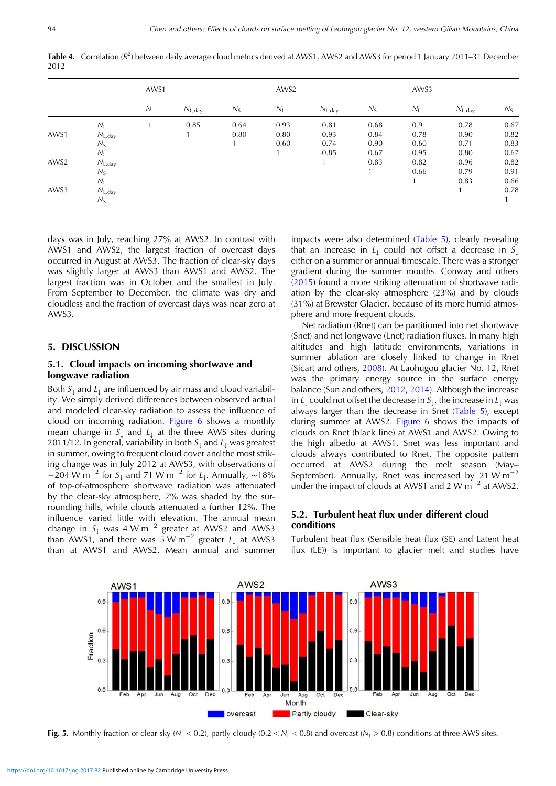<span id="page-5-0"></span>Table 4. Correlation  $(R^2)$  between daily average cloud metrics derived at AWS1, AWS2 and AWS3 for period 1 January 2011–31 December 2012

|                  |                    | AWS1    |             |             | AWS2    |                    |             | AWS3    |                    |             |
|------------------|--------------------|---------|-------------|-------------|---------|--------------------|-------------|---------|--------------------|-------------|
|                  |                    | $N_{L}$ | $N_{L,day}$ | $N_{\rm S}$ | $N_{L}$ | $N_{L,\text{day}}$ | $N_{\rm S}$ | $N_{L}$ | $N_{L,\text{day}}$ | $N_{\rm S}$ |
|                  | $N_{\rm L}$        |         | 0.85        | 0.64        | 0.93    | 0.81               | 0.68        | 0.9     | 0.78               | 0.67        |
| AWS1             | $N_{L,\text{day}}$ |         |             | 0.80        | 0.80    | 0.93               | 0.84        | 0.78    | 0.90               | 0.82        |
|                  | $N_{\rm S}$        |         |             |             | 0.60    | 0.74               | 0.90        | 0.60    | 0.71               | 0.83        |
|                  | $N_{\mathsf{L}}$   |         |             |             |         | 0.85               | 0.67        | 0.95    | 0.80               | 0.67        |
| AWS <sub>2</sub> | $N_{L,\text{day}}$ |         |             |             |         |                    | 0.83        | 0.82    | 0.96               | 0.82        |
|                  | $N_{\rm S}$        |         |             |             |         |                    |             | 0.66    | 0.79               | 0.91        |
|                  | $N_{\rm L}$        |         |             |             |         |                    |             |         | 0.83               | 0.66        |
| AWS3             | $N_{L,\text{day}}$ |         |             |             |         |                    |             |         |                    | 0.78        |
|                  | $N_{\rm S}$        |         |             |             |         |                    |             |         |                    |             |

days was in July, reaching 27% at AWS2. In contrast with AWS1 and AWS2, the largest fraction of overcast days occurred in August at AWS3. The fraction of clear-sky days was slightly larger at AWS3 than AWS1 and AWS2. The largest fraction was in October and the smallest in July. From September to December, the climate was dry and cloudless and the fraction of overcast days was near zero at AWS3.

#### 5. DISCUSSION

#### 5.1. Cloud impacts on incoming shortwave and longwave radiation

Both  $S_1$  and  $L_1$  are influenced by air mass and cloud variability. We simply derived differences between observed actual and modeled clear-sky radiation to assess the influence of cloud on incoming radiation. [Figure 6](#page-6-0) shows a monthly mean change in  $S_{\downarrow}$  and  $L_{\downarrow}$  at the three AWS sites during 2011/12. In general, variability in both  $S_{\perp}$  and  $L_{\perp}$  was greatest in summer, owing to frequent cloud cover and the most striking change was in July 2012 at AWS3, with observations of  $-204$  W m<sup>-2</sup> for S<sub>⊥</sub> and 71 W m<sup>-2</sup> for L<sub>⊥</sub>. Annually, ~18% of top-of-atmosphere shortwave radiation was attenuated by the clear-sky atmosphere, 7% was shaded by the surrounding hills, while clouds attenuated a further 12%. The influence varied little with elevation. The annual mean change in  $S_{\downarrow}$  was 4 W m<sup>-2</sup> greater at AWS2 and AWS3 than AWS1, and there was 5 W m<sup>-2</sup> greater  $L_{\downarrow}$  at AWS3 than at AWS1 and AWS2. Mean annual and summer

impacts were also determined [\(Table 5](#page-6-0)), clearly revealing that an increase in  $L_{\perp}$  could not offset a decrease in  $S_{\perp}$ either on a summer or annual timescale. There was a stronger gradient during the summer months. Conway and others [\(2015](#page-9-0)) found a more striking attenuation of shortwave radiation by the clear-sky atmosphere (23%) and by clouds (31%) at Brewster Glacier, because of its more humid atmosphere and more frequent clouds.

Net radiation (Rnet) can be partitioned into net shortwave (Snet) and net longwave (Lnet) radiation fluxes. In many high altitudes and high latitude environments, variations in summer ablation are closely linked to change in Rnet (Sicart and others, [2008](#page-10-0)). At Laohugou glacier No. 12, Rnet was the primary energy source in the surface energy balance (Sun and others, [2012](#page-10-0), [2014](#page-10-0)). Although the increase in  $L_{\perp}$  could not offset the decrease in  $S_{\perp}$ , the increase in  $L_{\perp}$  was always larger than the decrease in Snet [\(Table 5](#page-6-0)), except during summer at AWS2. [Figure 6](#page-6-0) shows the impacts of clouds on Rnet (black line) at AWS1 and AWS2. Owing to the high albedo at AWS1, Snet was less important and clouds always contributed to Rnet. The opposite pattern occurred at AWS2 during the melt season (May– September). Annually, Rnet was increased by 21 W m<sup>-2</sup> under the impact of clouds at AWS1 and 2 W m−<sup>2</sup> at AWS2.

## 5.2. Turbulent heat flux under different cloud conditions



Turbulent heat flux (Sensible heat flux (SE) and Latent heat flux (LE)) is important to glacier melt and studies have

Fig. 5. Monthly fraction of clear-sky ( $N_L < 0.2$ ), partly cloudy (0.2 <  $N_L < 0.8$ ) and overcast ( $N_L > 0.8$ ) conditions at three AWS sites.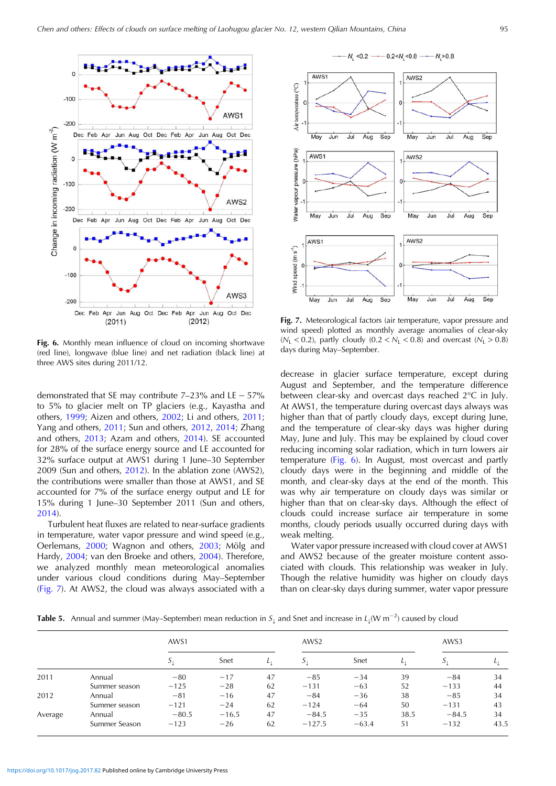<span id="page-6-0"></span>

Fig. 6. Monthly mean influence of cloud on incoming shortwave (red line), longwave (blue line) and net radiation (black line) at three AWS sites during 2011/12.

demonstrated that SE may contribute  $7-23\%$  and LE  $-57\%$ to 5% to glacier melt on TP glaciers (e.g., Kayastha and others, [1999](#page-9-0); Aizen and others, [2002](#page-9-0); Li and others, [2011;](#page-10-0) Yang and others, [2011](#page-10-0); Sun and others, [2012,](#page-10-0) [2014](#page-10-0); Zhang and others, [2013](#page-10-0); Azam and others, [2014\)](#page-9-0). SE accounted for 28% of the surface energy source and LE accounted for 32% surface output at AWS1 during 1 June–30 September 2009 (Sun and others, [2012\)](#page-10-0). In the ablation zone (AWS2), the contributions were smaller than those at AWS1, and SE accounted for 7% of the surface energy output and LE for 15% during 1 June–30 September 2011 (Sun and others, [2014\)](#page-10-0).

Turbulent heat fluxes are related to near-surface gradients in temperature, water vapor pressure and wind speed (e.g., Oerlemans, [2000;](#page-10-0) Wagnon and others, [2003](#page-10-0); Mölg and Hardy, [2004](#page-10-0); van den Broeke and others, [2004\)](#page-10-0). Therefore, we analyzed monthly mean meteorological anomalies under various cloud conditions during May–September (Fig. 7). At AWS2, the cloud was always associated with a



Fig. 7. Meteorological factors (air temperature, vapor pressure and wind speed) plotted as monthly average anomalies of clear-sky  $(N_L < 0.2)$ , partly cloudy  $(0.2 < N_L < 0.8)$  and overcast  $(N_L > 0.8)$ days during May–September.

decrease in glacier surface temperature, except during August and September, and the temperature difference between clear-sky and overcast days reached 2°C in July. At AWS1, the temperature during overcast days always was higher than that of partly cloudy days, except during June, and the temperature of clear-sky days was higher during May, June and July. This may be explained by cloud cover reducing incoming solar radiation, which in turn lowers air temperature (Fig. 6). In August, most overcast and partly cloudy days were in the beginning and middle of the month, and clear-sky days at the end of the month. This was why air temperature on cloudy days was similar or higher than that on clear-sky days. Although the effect of clouds could increase surface air temperature in some months, cloudy periods usually occurred during days with weak melting.

Water vapor pressure increased with cloud cover at AWS1 and AWS2 because of the greater moisture content associated with clouds. This relationship was weaker in July. Though the relative humidity was higher on cloudy days than on clear-sky days during summer, water vapor pressure

**Table 5.** Annual and summer (May–September) mean reduction in  $S_\downarrow$  and Snet and increase in  $L_\downarrow$ (W m<sup>-2</sup>) caused by cloud

|         |               | AWS1    |         |    | AWS <sub>2</sub> |         | AWS3         |                        |      |
|---------|---------------|---------|---------|----|------------------|---------|--------------|------------------------|------|
|         |               |         | Snet    |    | $\mathcal{L}$    | Snet    | $\mathbf{L}$ | $\mathcal{P}^{\prime}$ |      |
| 2011    | Annual        | $-80$   | $-17$   | 47 | $-85$            | $-34$   | 39           | $-84$                  | 34   |
|         | Summer season | $-125$  | $-28$   | 62 | $-131$           | $-63$   | 52           | $-133$                 | 44   |
| 2012    | Annual        | $-81$   | $-16$   | 47 | $-84$            | $-36$   | 38           | $-85$                  | 34   |
|         | Summer season | $-121$  | $-24$   | 62 | $-124$           | $-64$   | 50           | $-131$                 | 43   |
| Average | Annual        | $-80.5$ | $-16.5$ | 47 | $-84.5$          | $-35$   | 38.5         | $-84.5$                | 34   |
|         | Summer Season | $-123$  | $-26$   | 62 | $-127.5$         | $-63.4$ | 51           | $-132$                 | 43.5 |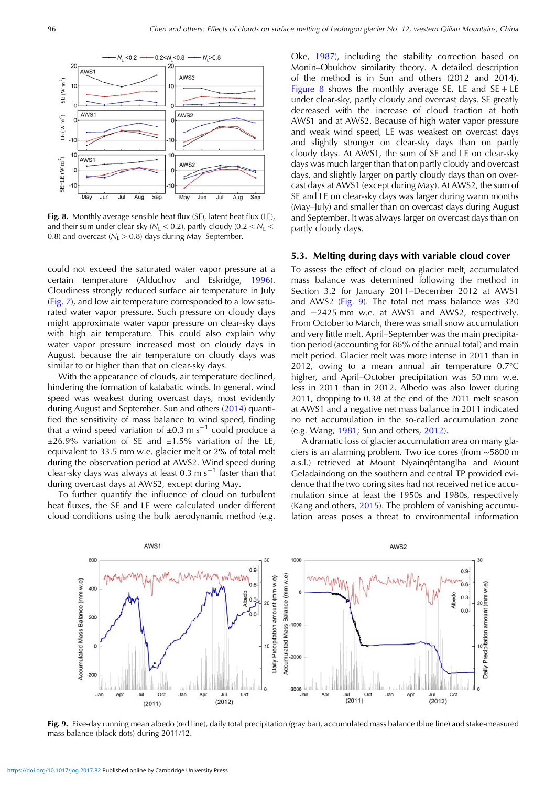

Fig. 8. Monthly average sensible heat flux (SE), latent heat flux (LE), and their sum under clear-sky ( $N_L < 0.2$ ), partly cloudy (0.2  $< N_L <$ 0.8) and overcast ( $N_L > 0.8$ ) days during May–September.

could not exceed the saturated water vapor pressure at a certain temperature (Alduchov and Eskridge, [1996\)](#page-9-0). Cloudiness strongly reduced surface air temperature in July ([Fig. 7\)](#page-6-0), and low air temperature corresponded to a low saturated water vapor pressure. Such pressure on cloudy days might approximate water vapor pressure on clear-sky days with high air temperature. This could also explain why water vapor pressure increased most on cloudy days in August, because the air temperature on cloudy days was similar to or higher than that on clear-sky days.

With the appearance of clouds, air temperature declined, hindering the formation of katabatic winds. In general, wind speed was weakest during overcast days, most evidently during August and September. Sun and others [\(2014](#page-10-0)) quantified the sensitivity of mass balance to wind speed, finding that a wind speed variation of  $\pm 0.3$  m s<sup>-1</sup> could produce a  $\pm 26.9\%$  variation of SE and  $\pm 1.5\%$  variation of the LE, equivalent to 33.5 mm w.e. glacier melt or 2% of total melt during the observation period at AWS2. Wind speed during clear-sky days was always at least  $0.3 \text{ m s}^{-1}$  faster than that during overcast days at AWS2, except during May.

To further quantify the influence of cloud on turbulent heat fluxes, the SE and LE were calculated under different cloud conditions using the bulk aerodynamic method (e.g.

Oke, [1987](#page-10-0)), including the stability correction based on Monin–Obukhov similarity theory. A detailed description of the method is in Sun and others (2012 and 2014). Figure 8 shows the monthly average SE, LE and  $SE + LE$ under clear-sky, partly cloudy and overcast days. SE greatly decreased with the increase of cloud fraction at both AWS1 and at AWS2. Because of high water vapor pressure and weak wind speed, LE was weakest on overcast days and slightly stronger on clear-sky days than on partly cloudy days. At AWS1, the sum of SE and LE on clear-sky days was much larger than that on partly cloudy and overcast days, and slightly larger on partly cloudy days than on overcast days at AWS1 (except during May). At AWS2, the sum of SE and LE on clear-sky days was larger during warm months (May–July) and smaller than on overcast days during August and September. It was always larger on overcast days than on partly cloudy days.

#### 5.3. Melting during days with variable cloud cover

To assess the effect of cloud on glacier melt, accumulated mass balance was determined following the method in Section 3.2 for January 2011–December 2012 at AWS1 and AWS2 (Fig. 9). The total net mass balance was 320 and −2425 mm w.e. at AWS1 and AWS2, respectively. From October to March, there was small snow accumulation and very little melt. April–September was the main precipitation period (accounting for 86% of the annual total) and main melt period. Glacier melt was more intense in 2011 than in 2012, owing to a mean annual air temperature 0.7°C higher, and April–October precipitation was 50 mm w.e. less in 2011 than in 2012. Albedo was also lower during 2011, dropping to 0.38 at the end of the 2011 melt season at AWS1 and a negative net mass balance in 2011 indicated no net accumulation in the so-called accumulation zone (e.g. Wang, [1981;](#page-10-0) Sun and others, [2012](#page-10-0)).

A dramatic loss of glacier accumulation area on many glaciers is an alarming problem. Two ice cores (from ∼5800 m a.s.l.) retrieved at Mount Nyainqêntanglha and Mount Geladaindong on the southern and central TP provided evidence that the two coring sites had not received net ice accumulation since at least the 1950s and 1980s, respectively (Kang and others, [2015](#page-9-0)). The problem of vanishing accumulation areas poses a threat to environmental information



Fig. 9. Five-day running mean albedo (red line), daily total precipitation (gray bar), accumulated mass balance (blue line) and stake-measured mass balance (black dots) during 2011/12.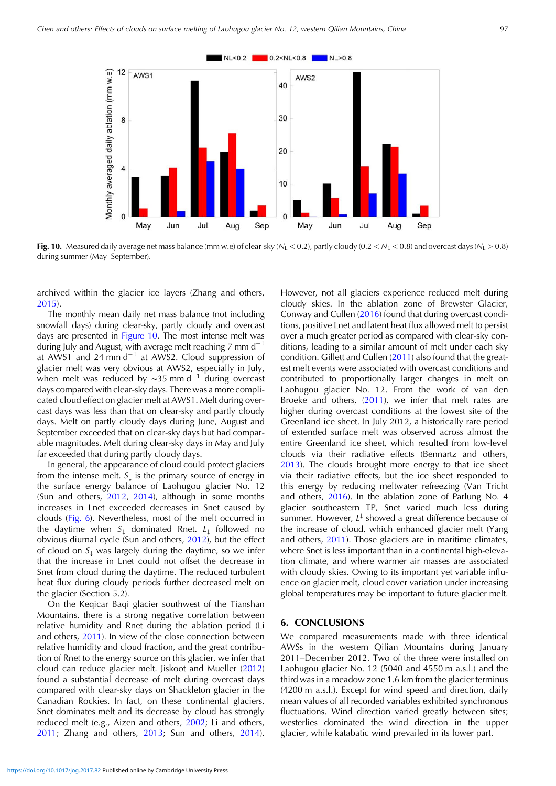

Fig. 10. Measured daily average net mass balance (mm w.e) of clear-sky ( $N_1 < 0.2$ ), partly cloudy (0.2 <  $N_1 < 0.8$ ) and overcast days ( $N_1 > 0.8$ ) during summer (May–September).

archived within the glacier ice layers (Zhang and others, [2015\)](#page-10-0).

The monthly mean daily net mass balance (not including snowfall days) during clear-sky, partly cloudy and overcast days are presented in Figure 10. The most intense melt was during July and August, with average melt reaching 7 mm  $d^{-1}$ at AWS1 and 24 mm  $d^{-1}$  at AWS2. Cloud suppression of glacier melt was very obvious at AWS2, especially in July, when melt was reduced by  $\sim$ 35 mm d<sup>-1</sup> during overcast days compared with clear-sky days. There was a more complicated cloud effect on glacier melt at AWS1. Melt during overcast days was less than that on clear-sky and partly cloudy days. Melt on partly cloudy days during June, August and September exceeded that on clear-sky days but had comparable magnitudes. Melt during clear-sky days in May and July far exceeded that during partly cloudy days.

In general, the appearance of cloud could protect glaciers from the intense melt.  $S_{\perp}$  is the primary source of energy in the surface energy balance of Laohugou glacier No. 12 (Sun and others, [2012,](#page-10-0) [2014](#page-10-0)), although in some months increases in Lnet exceeded decreases in Snet caused by clouds ([Fig. 6](#page-6-0)). Nevertheless, most of the melt occurred in the daytime when  $S_{\downarrow}$  dominated Rnet.  $L_{\downarrow}$  followed no obvious diurnal cycle (Sun and others, [2012](#page-10-0)), but the effect of cloud on  $S_{\perp}$  was largely during the daytime, so we infer that the increase in Lnet could not offset the decrease in Snet from cloud during the daytime. The reduced turbulent heat flux during cloudy periods further decreased melt on the glacier (Section 5.2).

On the Keqicar Baqi glacier southwest of the Tianshan Mountains, there is a strong negative correlation between relative humidity and Rnet during the ablation period (Li and others, [2011\)](#page-10-0). In view of the close connection between relative humidity and cloud fraction, and the great contribution of Rnet to the energy source on this glacier, we infer that cloud can reduce glacier melt. Jiskoot and Mueller ([2012\)](#page-9-0) found a substantial decrease of melt during overcast days compared with clear-sky days on Shackleton glacier in the Canadian Rockies. In fact, on these continental glaciers, Snet dominates melt and its decrease by cloud has strongly reduced melt (e.g., Aizen and others, [2002;](#page-9-0) Li and others, [2011;](#page-10-0) Zhang and others, [2013;](#page-10-0) Sun and others, [2014](#page-10-0)).

However, not all glaciers experience reduced melt during cloudy skies. In the ablation zone of Brewster Glacier, Conway and Cullen [\(2016](#page-9-0)) found that during overcast conditions, positive Lnet and latent heat flux allowed melt to persist over a much greater period as compared with clear-sky conditions, leading to a similar amount of melt under each sky condition. Gillett and Cullen ([2011\)](#page-9-0) also found that the greatest melt events were associated with overcast conditions and contributed to proportionally larger changes in melt on Laohugou glacier No. 12. From the work of van den Broeke and others, [\(2011](#page-10-0)), we infer that melt rates are higher during overcast conditions at the lowest site of the Greenland ice sheet. In July 2012, a historically rare period of extended surface melt was observed across almost the entire Greenland ice sheet, which resulted from low-level clouds via their radiative effects (Bennartz and others, [2013\)](#page-9-0). The clouds brought more energy to that ice sheet via their radiative effects, but the ice sheet responded to this energy by reducing meltwater refreezing (Van Tricht and others, [2016](#page-10-0)). In the ablation zone of Parlung No. 4 glacier southeastern TP, Snet varied much less during summer. However,  $L^{\downarrow}$  showed a great difference because of the increase of cloud, which enhanced glacier melt (Yang and others, [2011\)](#page-10-0). Those glaciers are in maritime climates, where Snet is less important than in a continental high-elevation climate, and where warmer air masses are associated with cloudy skies. Owing to its important yet variable influence on glacier melt, cloud cover variation under increasing global temperatures may be important to future glacier melt.

#### 6. CONCLUSIONS

We compared measurements made with three identical AWSs in the western Qilian Mountains during January 2011–December 2012. Two of the three were installed on Laohugou glacier No. 12 (5040 and 4550 m a.s.l.) and the third was in a meadow zone 1.6 km from the glacier terminus (4200 m a.s.l.). Except for wind speed and direction, daily mean values of all recorded variables exhibited synchronous fluctuations. Wind direction varied greatly between sites; westerlies dominated the wind direction in the upper glacier, while katabatic wind prevailed in its lower part.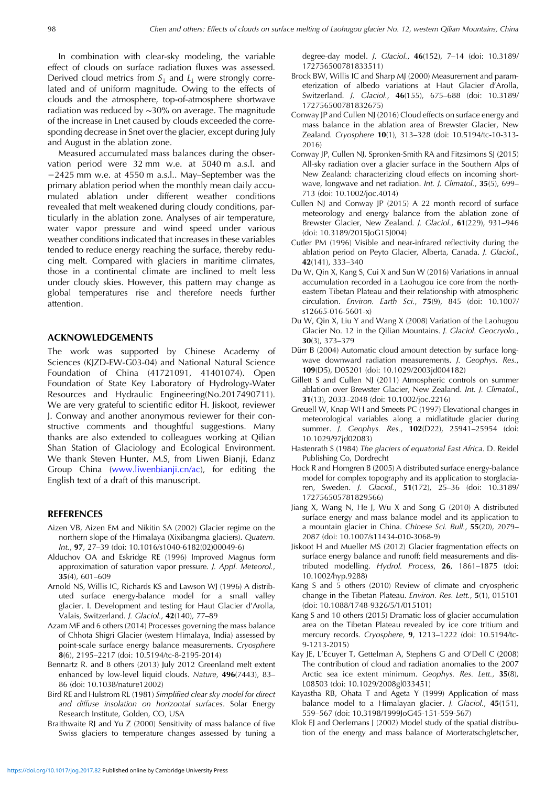<span id="page-9-0"></span>In combination with clear-sky modeling, the variable effect of clouds on surface radiation fluxes was assessed. Derived cloud metrics from  $S_{\perp}$  and  $L_{\perp}$  were strongly correlated and of uniform magnitude. Owing to the effects of clouds and the atmosphere, top-of-atmosphere shortwave radiation was reduced by ∼30% on average. The magnitude of the increase in Lnet caused by clouds exceeded the corresponding decrease in Snet over the glacier, except during July and August in the ablation zone.

Measured accumulated mass balances during the observation period were 32 mm w.e. at 5040 m a.s.l. and −2425 mm w.e. at 4550 m a.s.l.. May–September was the primary ablation period when the monthly mean daily accumulated ablation under different weather conditions revealed that melt weakened during cloudy conditions, particularly in the ablation zone. Analyses of air temperature, water vapor pressure and wind speed under various weather conditions indicated that increases in these variables tended to reduce energy reaching the surface, thereby reducing melt. Compared with glaciers in maritime climates, those in a continental climate are inclined to melt less under cloudy skies. However, this pattern may change as global temperatures rise and therefore needs further attention.

#### ACKNOWLEDGEMENTS

The work was supported by Chinese Academy of Sciences (KJZD-EW-G03-04) and National Natural Science Foundation of China (41721091, 41401074). Open Foundation of State Key Laboratory of Hydrology-Water Resources and Hydraulic Engineering(No.2017490711). We are very grateful to scientific editor H. Jiskoot, reviewer J. Conway and another anonymous reviewer for their constructive comments and thoughtful suggestions. Many thanks are also extended to colleagues working at Qilian Shan Station of Glaciology and Ecological Environment. We thank Steven Hunter, M.S, from Liwen Bianji, Edanz Group China ([www.liwenbianji.cn/ac\)](http://www.liwenbianji.cn/ac), for editing the English text of a draft of this manuscript.

#### REFERENCES

- Aizen VB, Aizen EM and Nikitin SA (2002) Glacier regime on the northern slope of the Himalaya (Xixibangma glaciers). Quatern. Int., 97, 27–39 (doi: 10.1016/s1040-6182(02)00049-6)
- Alduchov OA and Eskridge RE (1996) Improved Magnus form approximation of saturation vapor pressure. J. Appl. Meteorol., 35(4), 601–609
- Arnold NS, Willis IC, Richards KS and Lawson WJ (1996) A distributed surface energy-balance model for a small valley glacier. I. Development and testing for Haut Glacier d'Arolla, Valais, Switzerland. J. Glaciol., 42(140), 77–89
- Azam MF and 6 others (2014) Processes governing the mass balance of Chhota Shigri Glacier (western Himalaya, India) assessed by point-scale surface energy balance measurements. Cryosphere 8(6), 2195–2217 (doi: 10.5194/tc-8-2195-2014)
- Bennartz R. and 8 others (2013) July 2012 Greenland melt extent enhanced by low-level liquid clouds. Nature, 496(7443), 83– 86 (doi: 10.1038/nature12002)
- Bird RE and Hulstrom RL (1981) Simplified clear sky model for direct and diffuse insolation on horizontal surfaces. Solar Energy Research Institute, Golden, CO, USA
- Braithwaite RJ and Yu Z (2000) Sensitivity of mass balance of five Swiss glaciers to temperature changes assessed by tuning a

degree-day model. J. Glaciol., 46(152), 7–14 (doi: 10.3189/ 172756500781833511)

- Brock BW, Willis IC and Sharp MJ (2000) Measurement and parameterization of albedo variations at Haut Glacier d'Arolla, Switzerland. J. Glaciol., 46(155), 675–688 (doi: 10.3189/ 172756500781832675)
- Conway JP and Cullen NJ (2016) Cloud effects on surface energy and mass balance in the ablation area of Brewster Glacier, New Zealand. Cryosphere 10(1), 313–328 (doi: 10.5194/tc-10-313- 2016)
- Conway JP, Cullen NJ, Spronken-Smith RA and Fitzsimons SJ (2015) All-sky radiation over a glacier surface in the Southern Alps of New Zealand: characterizing cloud effects on incoming shortwave, longwave and net radiation. Int. J. Climatol., 35(5), 699– 713 (doi: 10.1002/joc.4014)
- Cullen NJ and Conway JP (2015) A 22 month record of surface meteorology and energy balance from the ablation zone of Brewster Glacier, New Zealand. J. Glaciol., 61(229), 931–946 (doi: 10.3189/2015JoG15J004)
- Cutler PM (1996) Visible and near-infrared reflectivity during the ablation period on Peyto Glacier, Alberta, Canada. J. Glaciol., 42(141), 333–340
- Du W, Qin X, Kang S, Cui X and Sun W (2016) Variations in annual accumulation recorded in a Laohugou ice core from the northeastern Tibetan Plateau and their relationship with atmospheric circulation. Environ. Earth Sci., 75(9), 845 (doi: 10.1007/ s12665-016-5601-x)
- Du W, Qin X, Liu Y and Wang X (2008) Variation of the Laohugou Glacier No. 12 in the Qilian Mountains. J. Glaciol. Geocryolo., 30(3), 373–379
- Dürr B (2004) Automatic cloud amount detection by surface longwave downward radiation measurements. J. Geophys. Res., 109(D5), D05201 (doi: 10.1029/2003jd004182)
- Gillett S and Cullen NJ (2011) Atmospheric controls on summer ablation over Brewster Glacier, New Zealand. Int. J. Climatol., 31(13), 2033–2048 (doi: 10.1002/joc.2216)
- Greuell W, Knap WH and Smeets PC (1997) Elevational changes in meteorological variables along a midlatitude glacier during summer. J. Geophys. Res., 102(D22), 25941–25954 (doi: 10.1029/97jd02083)
- Hastenrath S (1984) The glaciers of equatorial East Africa. D. Reidel Publishing Co, Dordrecht
- Hock R and Homgren B (2005) A distributed surface energy-balance model for complex topography and its application to storglaciaren, Sweden. J. Glaciol., 51(172), 25–36 (doi: 10.3189/ 172756505781829566)
- Jiang X, Wang N, He J, Wu X and Song G (2010) A distributed surface energy and mass balance model and its application to a mountain glacier in China. Chinese Sci. Bull., 55(20), 2079– 2087 (doi: 10.1007/s11434-010-3068-9)
- Jiskoot H and Mueller MS (2012) Glacier fragmentation effects on surface energy balance and runoff: field measurements and distributed modelling. Hydrol. Process, 26, 1861–1875 (doi: 10.1002/hyp.9288)
- Kang S and 5 others (2010) Review of climate and cryospheric change in the Tibetan Plateau. Environ. Res. Lett., 5(1), 015101 (doi: 10.1088/1748-9326/5/1/015101)
- Kang S and 10 others (2015) Dramatic loss of glacier accumulation area on the Tibetan Plateau revealed by ice core tritium and mercury records. Cryosphere, 9, 1213–1222 (doi: 10.5194/tc-9-1213-2015)
- Kay JE, L'Ecuyer T, Gettelman A, Stephens G and O'Dell C (2008) The contribution of cloud and radiation anomalies to the 2007 Arctic sea ice extent minimum. Geophys. Res. Lett., 35(8), L08503 (doi: 10.1029/2008gl033451)
- Kayastha RB, Ohata T and Ageta Y (1999) Application of mass balance model to a Himalayan glacier. *J. Glaciol.*, **45**(151), 559–567 (doi: 10.3198/1999JoG45-151-559-567)
- Klok EJ and Oerlemans J (2002) Model study of the spatial distribution of the energy and mass balance of Morteratschgletscher,